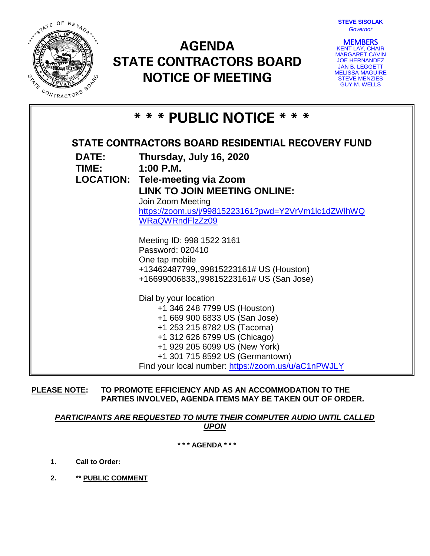

# **AGENDA STATE CONTRACTORS BOARD NOTICE OF MEETING**



**MEMBERS**<br>KENT LAY, CHAIR MARGARET CAVIN JOE HERNANDEZ JAN B. LEGGETT MELISSA MAGUIRE STEVE MENZIES GUY M. WELLS

| * * * PUBLIC NOTICE * * *                         |                                                                               |
|---------------------------------------------------|-------------------------------------------------------------------------------|
| STATE CONTRACTORS BOARD RESIDENTIAL RECOVERY FUND |                                                                               |
| <b>DATE:</b>                                      | Thursday, July 16, 2020                                                       |
| TIME:                                             | $1:00$ P.M.                                                                   |
|                                                   | <b>LOCATION: Tele-meeting via Zoom</b><br><b>LINK TO JOIN MEETING ONLINE:</b> |
|                                                   | Join Zoom Meeting                                                             |
|                                                   | https://zoom.us/j/99815223161?pwd=Y2VrVm1lc1dZWlhWQ                           |
|                                                   | <b>WRaQWRndFlzZz09</b>                                                        |
|                                                   |                                                                               |
|                                                   | Meeting ID: 998 1522 3161<br>Password: 020410                                 |
|                                                   | One tap mobile                                                                |
|                                                   | +13462487799,,99815223161# US (Houston)                                       |
|                                                   | +16699006833,,99815223161# US (San Jose)                                      |
|                                                   | Dial by your location                                                         |
|                                                   | +1 346 248 7799 US (Houston)                                                  |
|                                                   | +1 669 900 6833 US (San Jose)                                                 |
|                                                   | +1 253 215 8782 US (Tacoma)                                                   |
|                                                   | +1 312 626 6799 US (Chicago)                                                  |
|                                                   | +1 929 205 6099 US (New York)                                                 |
|                                                   | +1 301 715 8592 US (Germantown)                                               |
|                                                   | Find your local number: https://zoom.us/u/aC1nPWJLY                           |

**PLEASE NOTE: TO PROMOTE EFFICIENCY AND AS AN ACCOMMODATION TO THE PARTIES INVOLVED, AGENDA ITEMS MAY BE TAKEN OUT OF ORDER.**

# *PARTICIPANTS ARE REQUESTED TO MUTE THEIR COMPUTER AUDIO UNTIL CALLED UPON*

**\* \* \* AGENDA \* \* \***

- **1. Call to Order:**
- **2. \*\* PUBLIC COMMENT**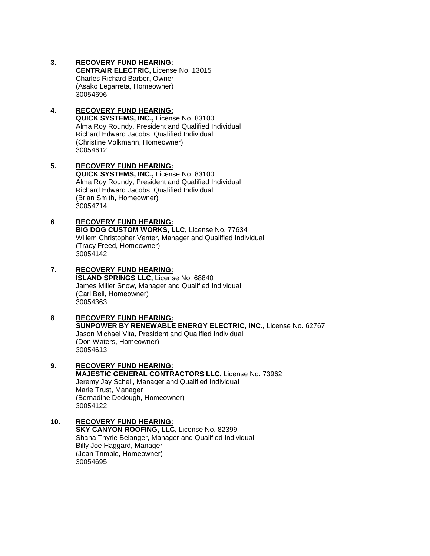#### **3. RECOVERY FUND HEARING:**

**CENTRAIR ELECTRIC,** License No. 13015 Charles Richard Barber, Owner (Asako Legarreta, Homeowner) 30054696

# **4. RECOVERY FUND HEARING:**

**QUICK SYSTEMS, INC.,** License No. 83100 Alma Roy Roundy, President and Qualified Individual Richard Edward Jacobs, Qualified Individual (Christine Volkmann, Homeowner) 30054612

**5. RECOVERY FUND HEARING: QUICK SYSTEMS, INC.,** License No. 83100 Alma Roy Roundy, President and Qualified Individual Richard Edward Jacobs, Qualified Individual (Brian Smith, Homeowner) 30054714

# **6**. **RECOVERY FUND HEARING:**

**BIG DOG CUSTOM WORKS, LLC,** License No. 77634 Willem Christopher Venter, Manager and Qualified Individual (Tracy Freed, Homeowner) 30054142

# **7. RECOVERY FUND HEARING: ISLAND SPRINGS LLC,** License No. 68840 James Miller Snow, Manager and Qualified Individual

(Carl Bell, Homeowner) 30054363

# **8**. **RECOVERY FUND HEARING: SUNPOWER BY RENEWABLE ENERGY ELECTRIC, INC.,** License No. 62767

Jason Michael Vita, President and Qualified Individual (Don Waters, Homeowner) 30054613

#### **9**. **RECOVERY FUND HEARING: MAJESTIC GENERAL CONTRACTORS LLC,** License No. 73962 Jeremy Jay Schell, Manager and Qualified Individual Marie Trust, Manager (Bernadine Dodough, Homeowner) 30054122

#### **10. RECOVERY FUND HEARING: SKY CANYON ROOFING, LLC,** License No. 82399 Shana Thyrie Belanger, Manager and Qualified Individual Billy Joe Haggard, Manager (Jean Trimble, Homeowner) 30054695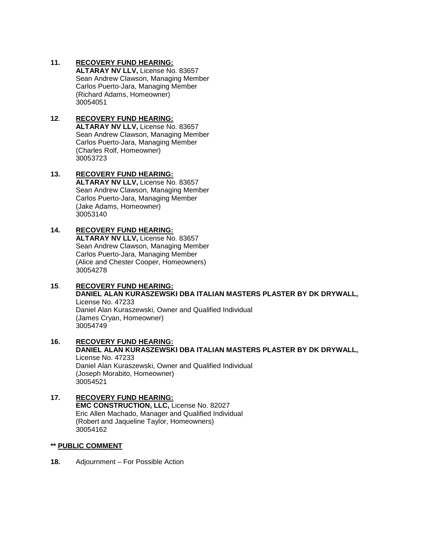#### **11. RECOVERY FUND HEARING:**

**ALTARAY NV LLV,** License No. 83657 Sean Andrew Clawson, Managing Member Carlos Puerto-Jara, Managing Member (Richard Adams, Homeowner) 30054051

#### **12**. **RECOVERY FUND HEARING: ALTARAY NV LLV,** License No. 83657 Sean Andrew Clawson, Managing Member Carlos Puerto-Jara, Managing Member (Charles Rolf, Homeowner) 30053723

#### **13. RECOVERY FUND HEARING: ALTARAY NV LLV,** License No. 83657 Sean Andrew Clawson, Managing Member Carlos Puerto-Jara, Managing Member (Jake Adams, Homeowner) 30053140

### **14. RECOVERY FUND HEARING:**

**ALTARAY NV LLV,** License No. 83657 Sean Andrew Clawson, Managing Member Carlos Puerto-Jara, Managing Member (Alice and Chester Cooper, Homeowners) 30054278

#### **15**. **RECOVERY FUND HEARING: DANIEL ALAN KURASZEWSKI DBA ITALIAN MASTERS PLASTER BY DK DRYWALL,**  License No. 47233 Daniel Alan Kuraszewski, Owner and Qualified Individual (James Cryan, Homeowner) 30054749

#### **16. RECOVERY FUND HEARING: DANIEL ALAN KURASZEWSKI DBA ITALIAN MASTERS PLASTER BY DK DRYWALL,**  License No. 47233 Daniel Alan Kuraszewski, Owner and Qualified Individual (Joseph Morabito, Homeowner) 30054521

#### **17. RECOVERY FUND HEARING: EMC CONSTRUCTION, LLC,** License No. 82027 Eric Allen Machado, Manager and Qualified Individual (Robert and Jaqueline Taylor, Homeowners) 30054162

### **\*\* PUBLIC COMMENT**

**18.** Adjournment – For Possible Action